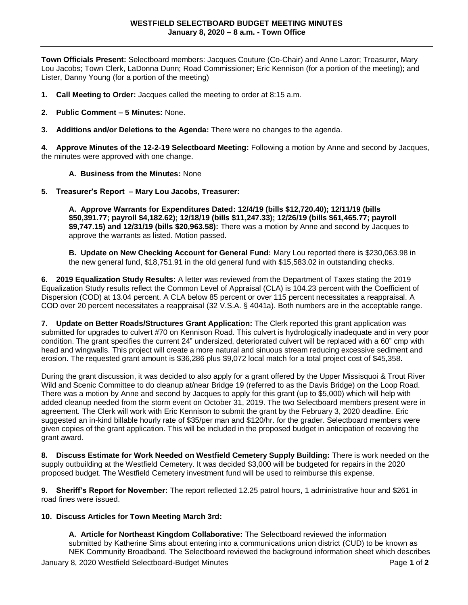**Town Officials Present:** Selectboard members: Jacques Couture (Co-Chair) and Anne Lazor; Treasurer, Mary Lou Jacobs; Town Clerk, LaDonna Dunn; Road Commissioner; Eric Kennison (for a portion of the meeting); and Lister, Danny Young (for a portion of the meeting)

- **1. Call Meeting to Order:** Jacques called the meeting to order at 8:15 a.m.
- **2. Public Comment – 5 Minutes:** None.
- **3. Additions and/or Deletions to the Agenda:** There were no changes to the agenda.

**4. Approve Minutes of the 12-2-19 Selectboard Meeting:** Following a motion by Anne and second by Jacques, the minutes were approved with one change.

## **A. Business from the Minutes:** None

**5. Treasurer's Report – Mary Lou Jacobs, Treasurer:** 

**A. Approve Warrants for Expenditures Dated: 12/4/19 (bills \$12,720.40); 12/11/19 (bills \$50,391.77; payroll \$4,182.62); 12/18/19 (bills \$11,247.33); 12/26/19 (bills \$61,465.77; payroll \$9,747.15) and 12/31/19 (bills \$20,963.58):** There was a motion by Anne and second by Jacques to approve the warrants as listed. Motion passed.

**B. Update on New Checking Account for General Fund:** Mary Lou reported there is \$230,063.98 in the new general fund, \$18,751.91 in the old general fund with \$15,583.02 in outstanding checks.

**6. 2019 Equalization Study Results:** A letter was reviewed from the Department of Taxes stating the 2019 Equalization Study results reflect the Common Level of Appraisal (CLA) is 104.23 percent with the Coefficient of Dispersion (COD) at 13.04 percent. A CLA below 85 percent or over 115 percent necessitates a reappraisal. A COD over 20 percent necessitates a reappraisal (32 V.S.A. § 4041a). Both numbers are in the acceptable range.

**7. Update on Better Roads/Structures Grant Application:** The Clerk reported this grant application was submitted for upgrades to culvert #70 on Kennison Road. This culvert is hydrologically inadequate and in very poor condition. The grant specifies the current 24" undersized, deteriorated culvert will be replaced with a 60" cmp with head and wingwalls. This project will create a more natural and sinuous stream reducing excessive sediment and erosion. The requested grant amount is \$36,286 plus \$9,072 local match for a total project cost of \$45,358.

During the grant discussion, it was decided to also apply for a grant offered by the Upper Missisquoi & Trout River Wild and Scenic Committee to do cleanup at/near Bridge 19 (referred to as the Davis Bridge) on the Loop Road. There was a motion by Anne and second by Jacques to apply for this grant (up to \$5,000) which will help with added cleanup needed from the storm event on October 31, 2019. The two Selectboard members present were in agreement. The Clerk will work with Eric Kennison to submit the grant by the February 3, 2020 deadline. Eric suggested an in-kind billable hourly rate of \$35/per man and \$120/hr. for the grader. Selectboard members were given copies of the grant application. This will be included in the proposed budget in anticipation of receiving the grant award.

**8. Discuss Estimate for Work Needed on Westfield Cemetery Supply Building:** There is work needed on the supply outbuilding at the Westfield Cemetery. It was decided \$3,000 will be budgeted for repairs in the 2020 proposed budget. The Westfield Cemetery investment fund will be used to reimburse this expense.

**9. Sheriff's Report for November:** The report reflected 12.25 patrol hours, 1 administrative hour and \$261 in road fines were issued.

## **10. Discuss Articles for Town Meeting March 3rd:**

**A. Article for Northeast Kingdom Collaborative:** The Selectboard reviewed the information submitted by Katherine Sims about entering into a communications union district (CUD) to be known as NEK Community Broadband. The Selectboard reviewed the background information sheet which describes